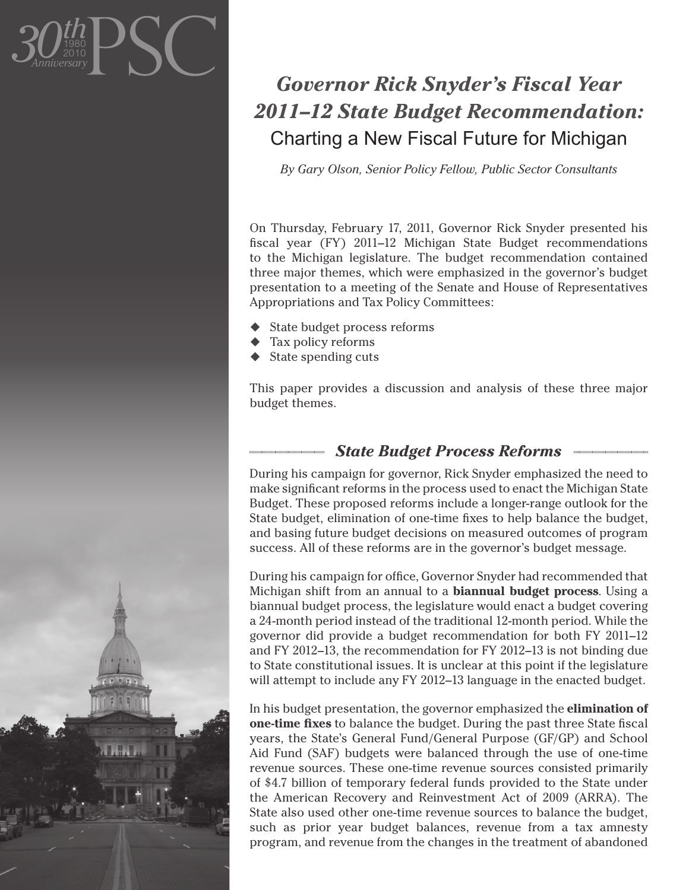

## *Governor Rick Snyder's Fiscal Year 2011–12 State Budget Recommendation:*  Charting a New Fiscal Future for Michigan

*By Gary Olson, Senior Policy Fellow, Public Sector Consultants*

On Thursday, February 17, 2011, Governor Rick Snyder presented his fiscal year (FY) 2011–12 Michigan State Budget recommendations to the Michigan legislature. The budget recommendation contained three major themes, which were emphasized in the governor's budget presentation to a meeting of the Senate and House of Representatives Appropriations and Tax Policy Committees:

- State budget process reforms
- ◆ Tax policy reforms
- State spending cuts

This paper provides a discussion and analysis of these three major budget themes.

## *State Budget Process Reforms*

During his campaign for governor, Rick Snyder emphasized the need to make significant reforms in the process used to enact the Michigan State Budget. These proposed reforms include a longer-range outlook for the State budget, elimination of one-time fixes to help balance the budget, and basing future budget decisions on measured outcomes of program success. All of these reforms are in the governor's budget message.

During his campaign for office, Governor Snyder had recommended that Michigan shift from an annual to a **biannual budget process**. Using a biannual budget process, the legislature would enact a budget covering a 24-month period instead of the traditional 12-month period. While the governor did provide a budget recommendation for both FY 2011–12 and FY 2012–13, the recommendation for FY 2012–13 is not binding due to State constitutional issues. It is unclear at this point if the legislature will attempt to include any FY 2012–13 language in the enacted budget.

In his budget presentation, the governor emphasized the **elimination of one-time fixes** to balance the budget. During the past three State fiscal years, the State's General Fund/General Purpose (GF/GP) and School Aid Fund (SAF) budgets were balanced through the use of one-time revenue sources. These one-time revenue sources consisted primarily of \$4.7 billion of temporary federal funds provided to the State under the American Recovery and Reinvestment Act of 2009 (ARRA). The State also used other one-time revenue sources to balance the budget, such as prior year budget balances, revenue from a tax amnesty program, and revenue from the changes in the treatment of abandoned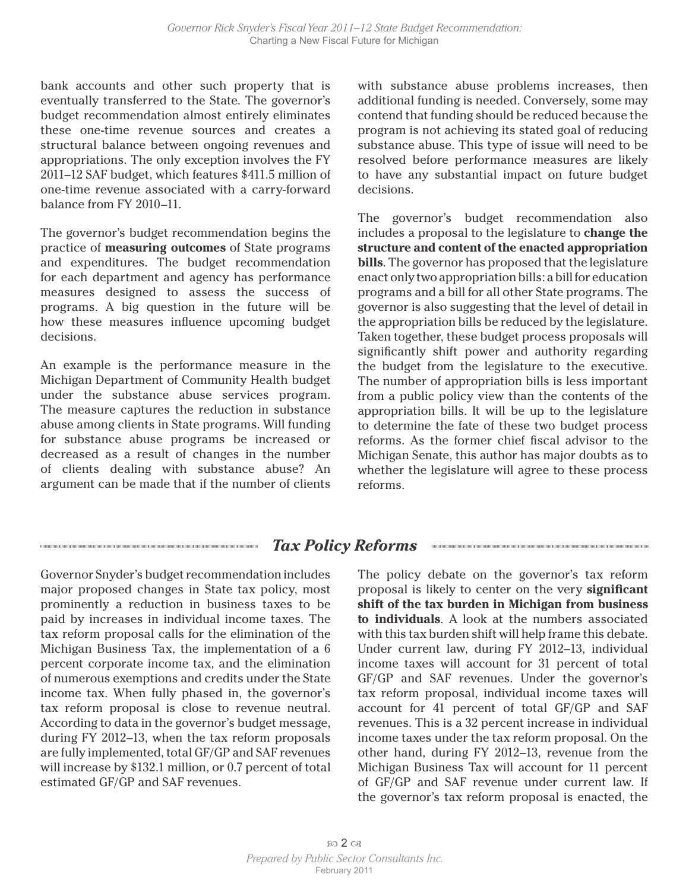bank accounts and other such property that is eventually transferred to the State. The governor's budget recommendation almost entirely eliminates these one-time revenue sources and creates a structural balance between ongoing revenues and appropriations. The only exception involves the FY 2011–12 SAF budget, which features \$411.5 million of one-time revenue associated with a carry-forward balance from FY 2010–11.

The governor's budget recommendation begins the practice of **measuring outcomes** of State programs and expenditures. The budget recommendation for each department and agency has performance measures designed to assess the success of programs. A big question in the future will be how these measures influence upcoming budget decisions.

An example is the performance measure in the Michigan Department of Community Health budget under the substance abuse services program. The measure captures the reduction in substance abuse among clients in State programs. Will funding for substance abuse programs be increased or decreased as a result of changes in the number of clients dealing with substance abuse? An argument can be made that if the number of clients

with substance abuse problems increases, then additional funding is needed. Conversely, some may contend that funding should be reduced because the program is not achieving its stated goal of reducing substance abuse. This type of issue will need to be resolved before performance measures are likely to have any substantial impact on future budget decisions.

The governor's budget recommendation also includes a proposal to the legislature to **change the structure and content of the enacted appropriation bills**. The governor has proposed that the legislature enact only two appropriation bills: a bill for education programs and a bill for all other State programs. The governor is also suggesting that the level of detail in the appropriation bills be reduced by the legislature. Taken together, these budget process proposals will significantly shift power and authority regarding the budget from the legislature to the executive. The number of appropriation bills is less important from a public policy view than the contents of the appropriation bills. It will be up to the legislature to determine the fate of these two budget process reforms. As the former chief fiscal advisor to the Michigan Senate, this author has major doubts as to whether the legislature will agree to these process reforms.

## *Tax Policy Reforms*

Governor Snyder's budget recommendation includes major proposed changes in State tax policy, most prominently a reduction in business taxes to be paid by increases in individual income taxes. The tax reform proposal calls for the elimination of the Michigan Business Tax, the implementation of a 6 percent corporate income tax, and the elimination of numerous exemptions and credits under the State income tax. When fully phased in, the governor's tax reform proposal is close to revenue neutral. According to data in the governor's budget message, during FY 2012–13, when the tax reform proposals are fully implemented, total GF/GP and SAF revenues will increase by \$132.1 million, or 0.7 percent of total estimated GF/GP and SAF revenues.

The policy debate on the governor's tax reform proposal is likely to center on the very **significant shift of the tax burden in Michigan from business to individuals**. A look at the numbers associated with this tax burden shift will help frame this debate. Under current law, during FY 2012–13, individual income taxes will account for 31 percent of total GF/GP and SAF revenues. Under the governor's tax reform proposal, individual income taxes will account for 41 percent of total GF/GP and SAF revenues. This is a 32 percent increase in individual income taxes under the tax reform proposal. On the other hand, during FY 2012–13, revenue from the Michigan Business Tax will account for 11 percent of GF/GP and SAF revenue under current law. If the governor's tax reform proposal is enacted, the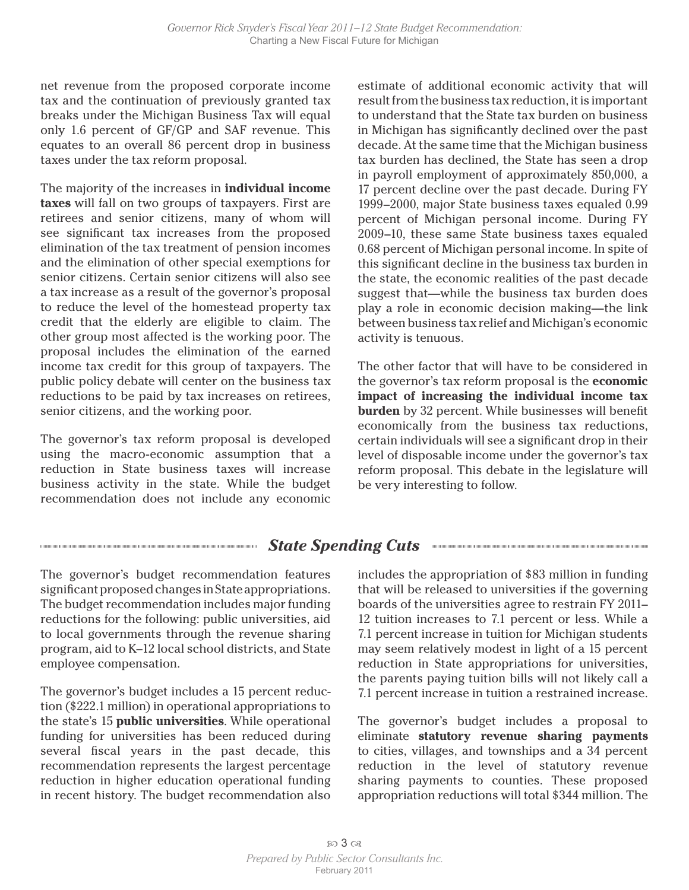net revenue from the proposed corporate income tax and the continuation of previously granted tax breaks under the Michigan Business Tax will equal only 1.6 percent of GF/GP and SAF revenue. This equates to an overall 86 percent drop in business taxes under the tax reform proposal.

The majority of the increases in **individual income taxes** will fall on two groups of taxpayers. First are retirees and senior citizens, many of whom will see significant tax increases from the proposed elimination of the tax treatment of pension incomes and the elimination of other special exemptions for senior citizens. Certain senior citizens will also see a tax increase as a result of the governor's proposal to reduce the level of the homestead property tax credit that the elderly are eligible to claim. The other group most affected is the working poor. The proposal includes the elimination of the earned income tax credit for this group of taxpayers. The public policy debate will center on the business tax reductions to be paid by tax increases on retirees, senior citizens, and the working poor.

The governor's tax reform proposal is developed using the macro-economic assumption that a reduction in State business taxes will increase business activity in the state. While the budget recommendation does not include any economic

estimate of additional economic activity that will result from the business tax reduction, it is important to understand that the State tax burden on business in Michigan has significantly declined over the past decade. At the same time that the Michigan business tax burden has declined, the State has seen a drop in payroll employment of approximately 850,000, a 17 percent decline over the past decade. During FY 1999–2000, major State business taxes equaled 0.99 percent of Michigan personal income. During FY 2009–10, these same State business taxes equaled 0.68 percent of Michigan personal income. In spite of this significant decline in the business tax burden in the state, the economic realities of the past decade suggest that—while the business tax burden does play a role in economic decision making—the link between business tax relief and Michigan's economic activity is tenuous.

The other factor that will have to be considered in the governor's tax reform proposal is the **economic impact of increasing the individual income tax burden** by 32 percent. While businesses will benefit economically from the business tax reductions, certain individuals will see a significant drop in their level of disposable income under the governor's tax reform proposal. This debate in the legislature will be very interesting to follow.

## *State Spending Cuts*

The governor's budget recommendation features significant proposed changes in State appropriations. The budget recommendation includes major funding reductions for the following: public universities, aid to local governments through the revenue sharing program, aid to K–12 local school districts, and State employee compensation.

The governor's budget includes a 15 percent reduction (\$222.1 million) in operational appropriations to the state's 15 **public universities**. While operational funding for universities has been reduced during several fiscal years in the past decade, this recommendation represents the largest percentage reduction in higher education operational funding in recent history. The budget recommendation also

includes the appropriation of \$83 million in funding that will be released to universities if the governing boards of the universities agree to restrain FY 2011– 12 tuition increases to 7.1 percent or less. While a 7.1 percent increase in tuition for Michigan students may seem relatively modest in light of a 15 percent reduction in State appropriations for universities, the parents paying tuition bills will not likely call a 7.1 percent increase in tuition a restrained increase.

The governor's budget includes a proposal to eliminate **statutory revenue sharing payments** to cities, villages, and townships and a 34 percent reduction in the level of statutory revenue sharing payments to counties. These proposed appropriation reductions will total \$344 million. The